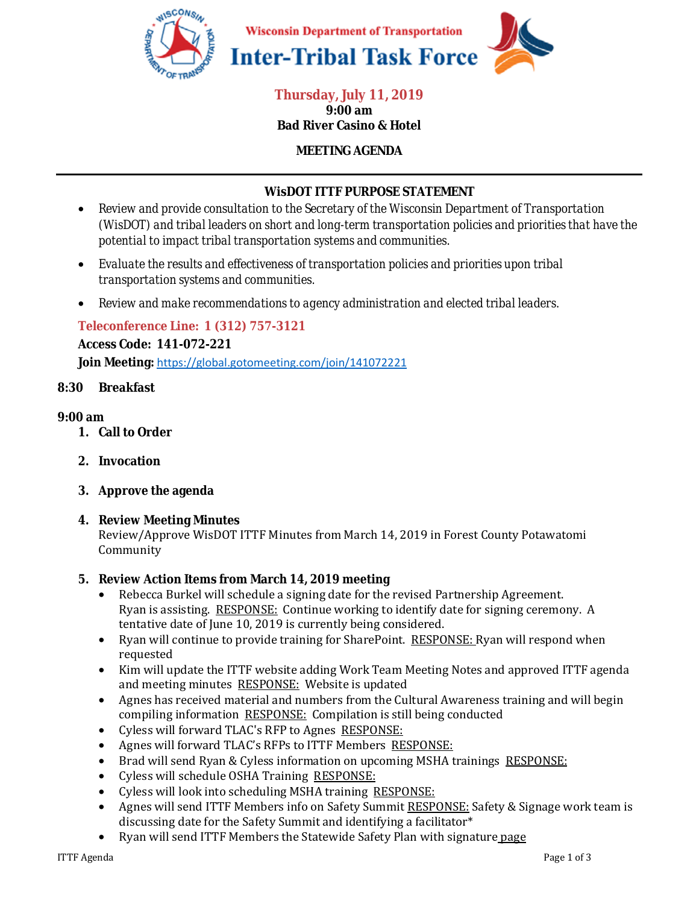

#### **Thursday, July 11, 2019 9:00 am Bad River Casino & Hotel**

## **MEETING AGENDA**

## **WisDOT ITTF PURPOSE STATEMENT**

- *Review and provide consultation to the Secretary of the Wisconsin Department of Transportation (WisDOT) and tribal leaders on short and long-term transportation policies and priorities that have the potential to impact tribal transportation systems and communities.*
- *Evaluate the results and effectiveness of transportation policies and priorities upon tribal transportation systems and communities.*
- *Review and make recommendations to agency administration and elected tribal leaders.*

### **Teleconference Line: 1 (312) 757-3121**

**Access Code: 141-072-221** 

**Join Meeting:** https://global.gotomeeting.com/join/141072221

### **8:30 Breakfast**

#### **9:00 am**

- **1. Call to Order**
- **2. Invocation**
- **3. Approve the agenda**

#### **4. Review Meeting Minutes**

Review/Approve WisDOT ITTF Minutes from March 14, 2019 in Forest County Potawatomi Community

#### **5. Review Action Items from March 14, 2019 meeting**

- Rebecca Burkel will schedule a signing date for the revised Partnership Agreement. Ryan is assisting. RESPONSE: Continue working to identify date for signing ceremony. A tentative date of June 10, 2019 is currently being considered.
- Ryan will continue to provide training for SharePoint. RESPONSE: Ryan will respond when requested
- Kim will update the ITTF website adding Work Team Meeting Notes and approved ITTF agenda and meeting minutes RESPONSE: Website is updated
- Agnes has received material and numbers from the Cultural Awareness training and will begin compiling information RESPONSE: Compilation is still being conducted
- Cyless will forward TLAC's RFP to Agnes RESPONSE:
- Agnes will forward TLAC's RFPs to ITTF Members RESPONSE:
- Brad will send Ryan & Cyless information on upcoming MSHA trainings RESPONSE:
- Cyless will schedule OSHA Training RESPONSE:
- Cyless will look into scheduling MSHA training RESPONSE:
- Agnes will send ITTF Members info on Safety Summit RESPONSE: Safety & Signage work team is discussing date for the Safety Summit and identifying a facilitator\*
- Ryan will send ITTF Members the Statewide Safety Plan with signature page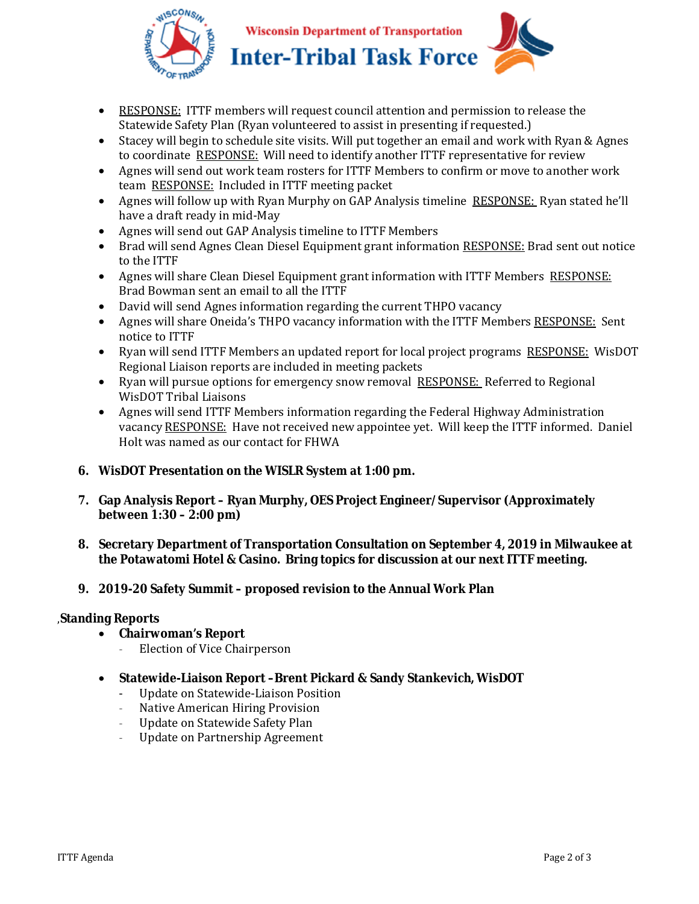

**Wisconsin Department of Transportation Inter-Tribal Task Force** 



- RESPONSE: ITTF members will request council attention and permission to release the Statewide Safety Plan (Ryan volunteered to assist in presenting if requested.)
- Stacey will begin to schedule site visits. Will put together an email and work with Ryan & Agnes to coordinate RESPONSE: Will need to identify another ITTF representative for review
- Agnes will send out work team rosters for ITTF Members to confirm or move to another work team RESPONSE: Included in ITTF meeting packet
- Agnes will follow up with Ryan Murphy on GAP Analysis timeline RESPONSE: Ryan stated he'll have a draft ready in mid-May
- Agnes will send out GAP Analysis timeline to ITTF Members
- Brad will send Agnes Clean Diesel Equipment grant information RESPONSE: Brad sent out notice to the ITTF
- Agnes will share Clean Diesel Equipment grant information with ITTF Members RESPONSE: Brad Bowman sent an email to all the ITTF
- David will send Agnes information regarding the current THPO vacancy
- Agnes will share Oneida's THPO vacancy information with the ITTF Members RESPONSE: Sent notice to ITTF
- Ryan will send ITTF Members an updated report for local project programs RESPONSE: WisDOT Regional Liaison reports are included in meeting packets
- Ryan will pursue options for emergency snow removal RESPONSE: Referred to Regional WisDOT Tribal Liaisons
- Agnes will send ITTF Members information regarding the Federal Highway Administration vacancy RESPONSE: Have not received new appointee yet. Will keep the ITTF informed. Daniel Holt was named as our contact for FHWA

## **6. WisDOT Presentation on the WISLR System at 1:00 pm.**

- **7. Gap Analysis Report Ryan Murphy, OES Project Engineer/Supervisor (Approximately between 1:30 – 2:00 pm)**
- **8. Secretary Department of Transportation Consultation on September 4, 2019 in Milwaukee at the Potawatomi Hotel & Casino. Bring topics for discussion at our next ITTF meeting.**

## **9. 2019-20 Safety Summit – proposed revision to the Annual Work Plan**

### ,**Standing Reports**

- **Chairwoman's Report**
	- Election of Vice Chairperson
- **Statewide-Liaison Report –Brent Pickard & Sandy Stankevich, WisDOT** 
	- Update on Statewide-Liaison Position
	- Native American Hiring Provision
	- Update on Statewide Safety Plan
	- Update on Partnership Agreement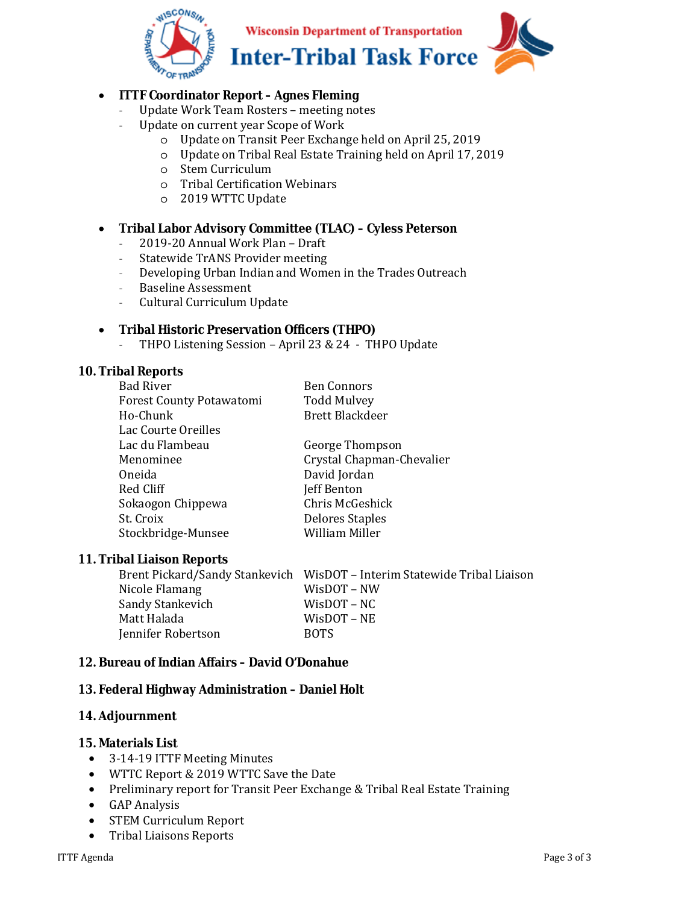

## • **ITTF Coordinator Report – Agnes Fleming**

- Update Work Team Rosters meeting notes
- Update on current year Scope of Work
	- o Update on Transit Peer Exchange held on April 25, 2019
	- o Update on Tribal Real Estate Training held on April 17, 2019
	- o Stem Curriculum
	- o Tribal Certification Webinars
	- o 2019 WTTC Update

### • **Tribal Labor Advisory Committee (TLAC) – Cyless Peterson**

- 2019-20 Annual Work Plan Draft
- Statewide TrANS Provider meeting
- Developing Urban Indian and Women in the Trades Outreach
- Baseline Assessment
- Cultural Curriculum Update

### • **Tribal Historic Preservation Officers (THPO)**

- THPO Listening Session – April 23 & 24 - THPO Update

### **10. Tribal Reports**

| <b>Bad River</b>         | <b>Ben Connors</b>        |
|--------------------------|---------------------------|
| Forest County Potawatomi | <b>Todd Mulvey</b>        |
| Ho-Chunk                 | <b>Brett Blackdeer</b>    |
| Lac Courte Oreilles      |                           |
| Lac du Flambeau          | George Thompson           |
| Menominee                | Crystal Chapman-Chevalier |
| Oneida                   | David Jordan              |
| Red Cliff                | Jeff Benton               |
| Sokaogon Chippewa        | Chris McGeshick           |
| St. Croix                | <b>Delores Staples</b>    |
| Stockbridge-Munsee       | William Miller            |
|                          |                           |

#### **11. Tribal Liaison Reports**

|                    | Brent Pickard/Sandy Stankevich WisDOT - Interim Statewide Tribal Liaison |
|--------------------|--------------------------------------------------------------------------|
| Nicole Flamang     | WisDOT – NW                                                              |
| Sandy Stankevich   | $W$ is $DOT - NC$                                                        |
| Matt Halada        | $W$ is $DOT - NE$                                                        |
| Jennifer Robertson | <b>BOTS</b>                                                              |

### **12. Bureau of Indian Affairs – David O'Donahue**

### **13. Federal Highway Administration – Daniel Holt**

### **14. Adjournment**

#### **15. Materials List**

- 3-14-19 ITTF Meeting Minutes
- WTTC Report & 2019 WTTC Save the Date
- Preliminary report for Transit Peer Exchange & Tribal Real Estate Training
- GAP Analysis
- STEM Curriculum Report
- Tribal Liaisons Reports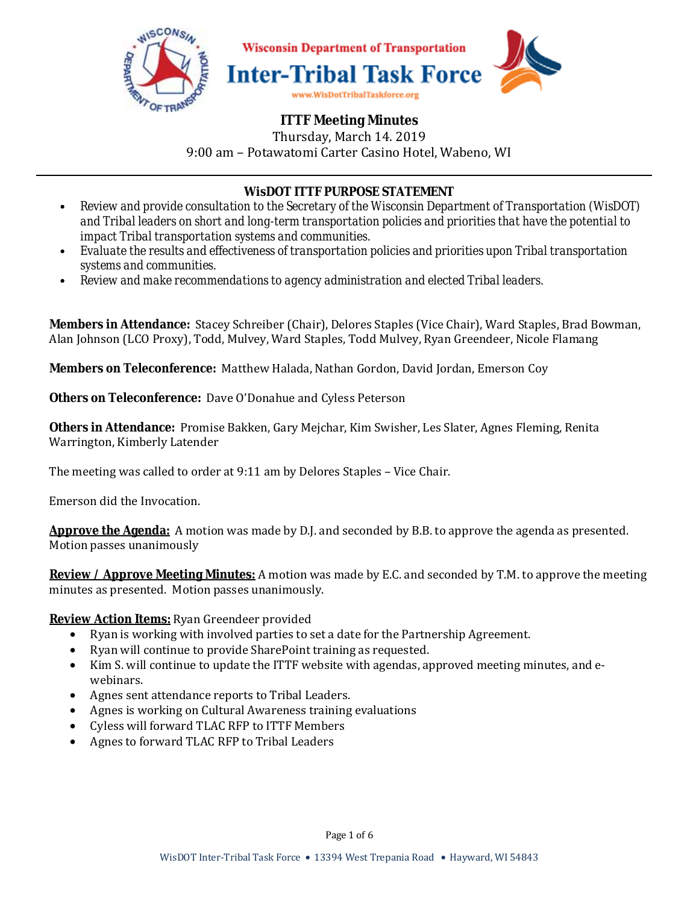

# **ITTF Meeting Minutes**

Thursday, March 14. 2019 9:00 am – Potawatomi Carter Casino Hotel, Wabeno, WI

## **WisDOT ITTF PURPOSE STATEMENT**

- *Review and provide consultation to the Secretary of the Wisconsin Department of Transportation (WisDOT) and Tribal leaders on short and long-term transportation policies and priorities that have the potential to impact Tribal transportation systems and communities.*
- *Evaluate the results and effectiveness of transportation policies and priorities upon Tribal transportation systems and communities.*
- *Review and make recommendations to agency administration and elected Tribal leaders.*

**Members in Attendance:** Stacey Schreiber (Chair), Delores Staples (Vice Chair), Ward Staples, Brad Bowman, Alan Johnson (LCO Proxy), Todd, Mulvey, Ward Staples, Todd Mulvey, Ryan Greendeer, Nicole Flamang

**Members on Teleconference:** Matthew Halada, Nathan Gordon, David Jordan, Emerson Coy

**Others on Teleconference:** Dave O'Donahue and Cyless Peterson

**Others in Attendance:** Promise Bakken, Gary Mejchar, Kim Swisher, Les Slater, Agnes Fleming, Renita Warrington, Kimberly Latender

The meeting was called to order at 9:11 am by Delores Staples – Vice Chair.

Emerson did the Invocation.

**Approve the Agenda:** A motion was made by D.J. and seconded by B.B. to approve the agenda as presented. Motion passes unanimously

**Review / Approve Meeting Minutes:** A motion was made by E.C. and seconded by T.M. to approve the meeting minutes as presented. Motion passes unanimously.

## **Review Action Items:** Ryan Greendeer provided

- Ryan is working with involved parties to set a date for the Partnership Agreement.
- Ryan will continue to provide SharePoint training as requested.
- Kim S. will continue to update the ITTF website with agendas, approved meeting minutes, and ewebinars.
- Agnes sent attendance reports to Tribal Leaders.
- Agnes is working on Cultural Awareness training evaluations
- Cyless will forward TLAC RFP to ITTF Members
- Agnes to forward TLAC RFP to Tribal Leaders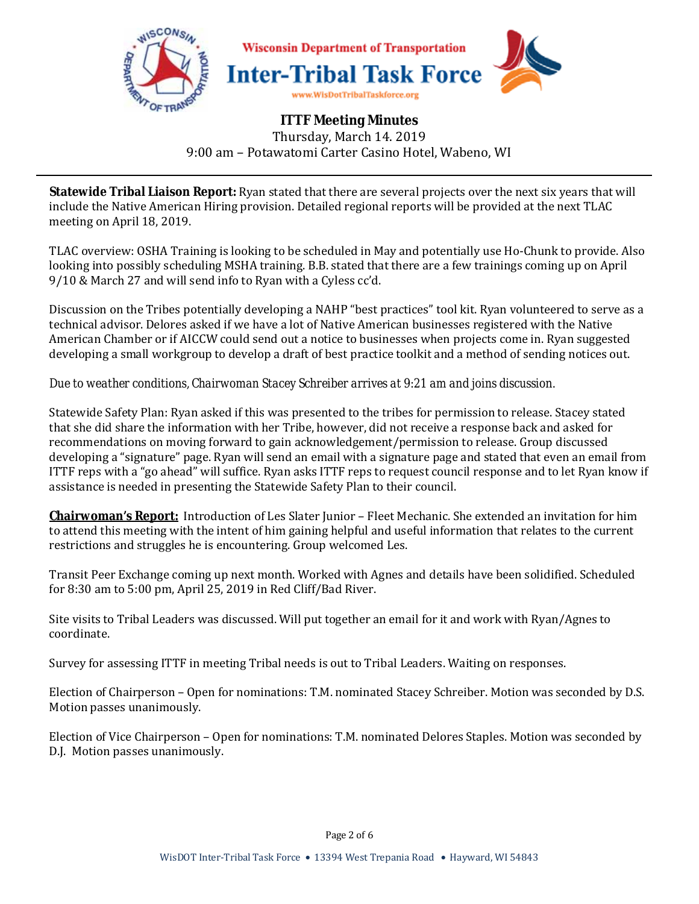

**Statewide Tribal Liaison Report:** Ryan stated that there are several projects over the next six years that will include the Native American Hiring provision. Detailed regional reports will be provided at the next TLAC meeting on April 18, 2019.

TLAC overview: OSHA Training is looking to be scheduled in May and potentially use Ho-Chunk to provide. Also looking into possibly scheduling MSHA training. B.B. stated that there are a few trainings coming up on April 9/10 & March 27 and will send info to Ryan with a Cyless cc'd.

Discussion on the Tribes potentially developing a NAHP "best practices" tool kit. Ryan volunteered to serve as a technical advisor. Delores asked if we have a lot of Native American businesses registered with the Native American Chamber or if AICCW could send out a notice to businesses when projects come in. Ryan suggested developing a small workgroup to develop a draft of best practice toolkit and a method of sending notices out.

## *Due to weather conditions, Chairwoman Stacey Schreiber arrives at 9:21 am and joins discussion.*

Statewide Safety Plan: Ryan asked if this was presented to the tribes for permission to release. Stacey stated that she did share the information with her Tribe, however, did not receive a response back and asked for recommendations on moving forward to gain acknowledgement/permission to release. Group discussed developing a "signature" page. Ryan will send an email with a signature page and stated that even an email from ITTF reps with a "go ahead" will suffice. Ryan asks ITTF reps to request council response and to let Ryan know if assistance is needed in presenting the Statewide Safety Plan to their council.

**Chairwoman's Report:** Introduction of Les Slater Junior – Fleet Mechanic. She extended an invitation for him to attend this meeting with the intent of him gaining helpful and useful information that relates to the current restrictions and struggles he is encountering. Group welcomed Les.

Transit Peer Exchange coming up next month. Worked with Agnes and details have been solidified. Scheduled for 8:30 am to 5:00 pm, April 25, 2019 in Red Cliff/Bad River.

Site visits to Tribal Leaders was discussed. Will put together an email for it and work with Ryan/Agnes to coordinate.

Survey for assessing ITTF in meeting Tribal needs is out to Tribal Leaders. Waiting on responses.

Election of Chairperson – Open for nominations: T.M. nominated Stacey Schreiber. Motion was seconded by D.S. Motion passes unanimously.

Election of Vice Chairperson – Open for nominations: T.M. nominated Delores Staples. Motion was seconded by D.J. Motion passes unanimously.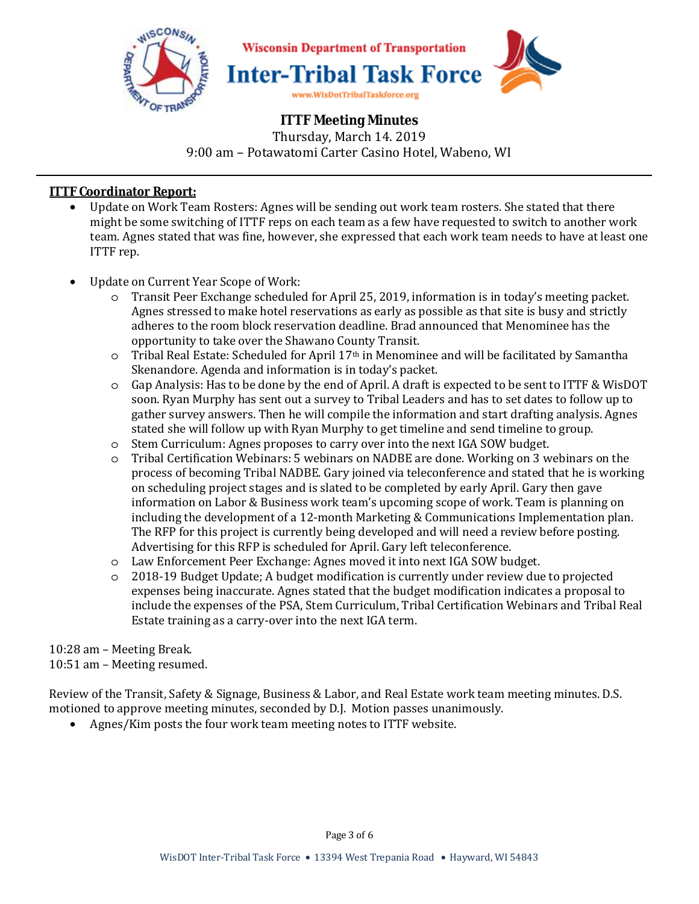

## **ITTF Coordinator Report:**

- Update on Work Team Rosters: Agnes will be sending out work team rosters. She stated that there might be some switching of ITTF reps on each team as a few have requested to switch to another work team. Agnes stated that was fine, however, she expressed that each work team needs to have at least one ITTF rep.
- Update on Current Year Scope of Work:
	- o Transit Peer Exchange scheduled for April 25, 2019, information is in today's meeting packet. Agnes stressed to make hotel reservations as early as possible as that site is busy and strictly adheres to the room block reservation deadline. Brad announced that Menominee has the opportunity to take over the Shawano County Transit.
	- $\circ$  Tribal Real Estate: Scheduled for April 17<sup>th</sup> in Menominee and will be facilitated by Samantha Skenandore. Agenda and information is in today's packet.
	- o Gap Analysis: Has to be done by the end of April. A draft is expected to be sent to ITTF & WisDOT soon. Ryan Murphy has sent out a survey to Tribal Leaders and has to set dates to follow up to gather survey answers. Then he will compile the information and start drafting analysis. Agnes stated she will follow up with Ryan Murphy to get timeline and send timeline to group.
	- o Stem Curriculum: Agnes proposes to carry over into the next IGA SOW budget.
	- o Tribal Certification Webinars: 5 webinars on NADBE are done. Working on 3 webinars on the process of becoming Tribal NADBE. Gary joined via teleconference and stated that he is working on scheduling project stages and is slated to be completed by early April. Gary then gave information on Labor & Business work team's upcoming scope of work. Team is planning on including the development of a 12-month Marketing & Communications Implementation plan. The RFP for this project is currently being developed and will need a review before posting. Advertising for this RFP is scheduled for April. Gary left teleconference.
	- o Law Enforcement Peer Exchange: Agnes moved it into next IGA SOW budget.
	- o 2018-19 Budget Update; A budget modification is currently under review due to projected expenses being inaccurate. Agnes stated that the budget modification indicates a proposal to include the expenses of the PSA, Stem Curriculum, Tribal Certification Webinars and Tribal Real Estate training as a carry-over into the next IGA term.

## 10:28 am – Meeting Break.

10:51 am – Meeting resumed.

Review of the Transit, Safety & Signage, Business & Labor, and Real Estate work team meeting minutes. D.S. motioned to approve meeting minutes, seconded by D.J. Motion passes unanimously.

• Agnes/Kim posts the four work team meeting notes to ITTF website.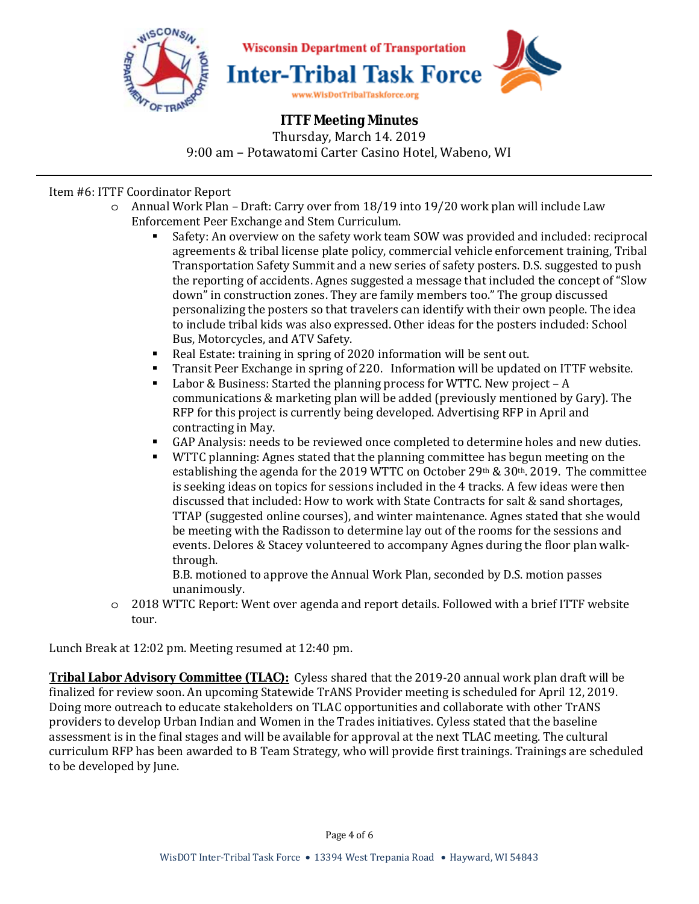

# **ITTF Meeting Minutes**

Thursday, March 14. 2019 9:00 am – Potawatomi Carter Casino Hotel, Wabeno, WI

## Item #6: ITTF Coordinator Report

- o Annual Work Plan Draft: Carry over from 18/19 into 19/20 work plan will include Law Enforcement Peer Exchange and Stem Curriculum.
	- Safety: An overview on the safety work team SOW was provided and included: reciprocal agreements & tribal license plate policy, commercial vehicle enforcement training, Tribal Transportation Safety Summit and a new series of safety posters. D.S. suggested to push the reporting of accidents. Agnes suggested a message that included the concept of "Slow down" in construction zones. They are family members too." The group discussed personalizing the posters so that travelers can identify with their own people. The idea to include tribal kids was also expressed. Other ideas for the posters included: School Bus, Motorcycles, and ATV Safety.
	- Real Estate: training in spring of 2020 information will be sent out.
	- Transit Peer Exchange in spring of 220. Information will be updated on ITTF website.
	- Labor & Business: Started the planning process for WTTC. New project A communications & marketing plan will be added (previously mentioned by Gary). The RFP for this project is currently being developed. Advertising RFP in April and contracting in May.
	- GAP Analysis: needs to be reviewed once completed to determine holes and new duties.
	- WTTC planning: Agnes stated that the planning committee has begun meeting on the establishing the agenda for the 2019 WTTC on October 29<sup>th</sup> & 30<sup>th</sup>. 2019. The committee is seeking ideas on topics for sessions included in the 4 tracks. A few ideas were then discussed that included: How to work with State Contracts for salt & sand shortages, TTAP (suggested online courses), and winter maintenance. Agnes stated that she would be meeting with the Radisson to determine lay out of the rooms for the sessions and events. Delores & Stacey volunteered to accompany Agnes during the floor plan walkthrough.

B.B. motioned to approve the Annual Work Plan, seconded by D.S. motion passes unanimously.

o 2018 WTTC Report: Went over agenda and report details. Followed with a brief ITTF website tour.

Lunch Break at 12:02 pm. Meeting resumed at 12:40 pm.

**Tribal Labor Advisory Committee (TLAC):** Cyless shared that the 2019-20 annual work plan draft will be finalized for review soon. An upcoming Statewide TrANS Provider meeting is scheduled for April 12, 2019. Doing more outreach to educate stakeholders on TLAC opportunities and collaborate with other TrANS providers to develop Urban Indian and Women in the Trades initiatives. Cyless stated that the baseline assessment is in the final stages and will be available for approval at the next TLAC meeting. The cultural curriculum RFP has been awarded to B Team Strategy, who will provide first trainings. Trainings are scheduled to be developed by June.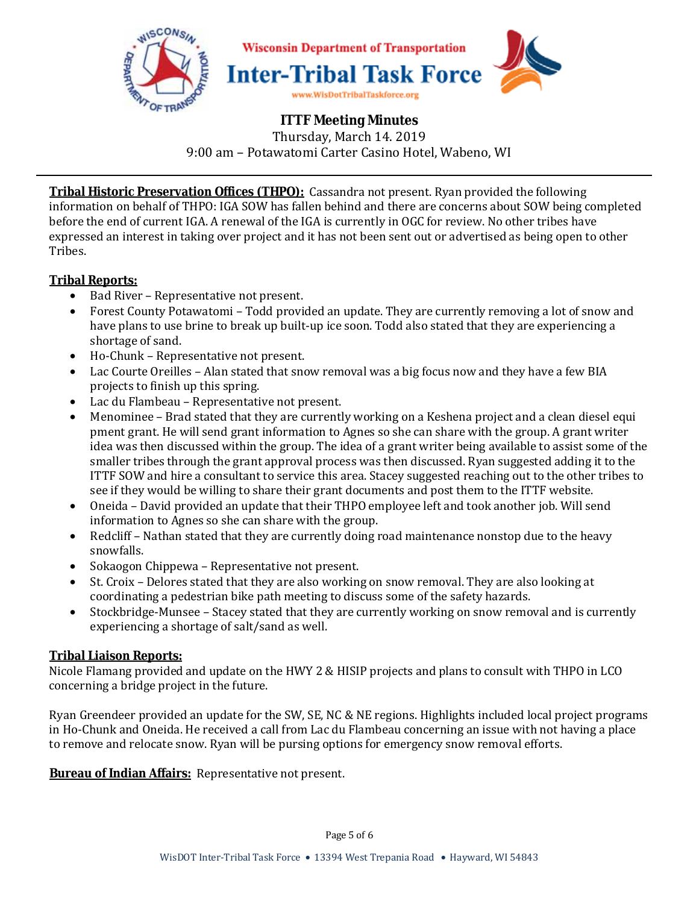

**Tribal Historic Preservation Offices (THPO):** Cassandra not present. Ryan provided the following information on behalf of THPO: IGA SOW has fallen behind and there are concerns about SOW being completed before the end of current IGA. A renewal of the IGA is currently in OGC for review. No other tribes have expressed an interest in taking over project and it has not been sent out or advertised as being open to other Tribes.

# **Tribal Reports:**

- Bad River Representative not present.
- Forest County Potawatomi Todd provided an update. They are currently removing a lot of snow and have plans to use brine to break up built-up ice soon. Todd also stated that they are experiencing a shortage of sand.
- Ho-Chunk Representative not present.
- Lac Courte Oreilles Alan stated that snow removal was a big focus now and they have a few BIA projects to finish up this spring.
- Lac du Flambeau Representative not present.
- Menominee Brad stated that they are currently working on a Keshena project and a clean diesel equi pment grant. He will send grant information to Agnes so she can share with the group. A grant writer idea was then discussed within the group. The idea of a grant writer being available to assist some of the smaller tribes through the grant approval process was then discussed. Ryan suggested adding it to the ITTF SOW and hire a consultant to service this area. Stacey suggested reaching out to the other tribes to see if they would be willing to share their grant documents and post them to the ITTF website.
- Oneida David provided an update that their THPO employee left and took another job. Will send information to Agnes so she can share with the group.
- Redcliff Nathan stated that they are currently doing road maintenance nonstop due to the heavy snowfalls.
- Sokaogon Chippewa Representative not present.
- St. Croix Delores stated that they are also working on snow removal. They are also looking at coordinating a pedestrian bike path meeting to discuss some of the safety hazards.
- Stockbridge-Munsee Stacey stated that they are currently working on snow removal and is currently experiencing a shortage of salt/sand as well.

# **Tribal Liaison Reports:**

Nicole Flamang provided and update on the HWY 2 & HISIP projects and plans to consult with THPO in LCO concerning a bridge project in the future.

Ryan Greendeer provided an update for the SW, SE, NC & NE regions. Highlights included local project programs in Ho-Chunk and Oneida. He received a call from Lac du Flambeau concerning an issue with not having a place to remove and relocate snow. Ryan will be pursing options for emergency snow removal efforts.

**Bureau of Indian Affairs:** Representative not present.